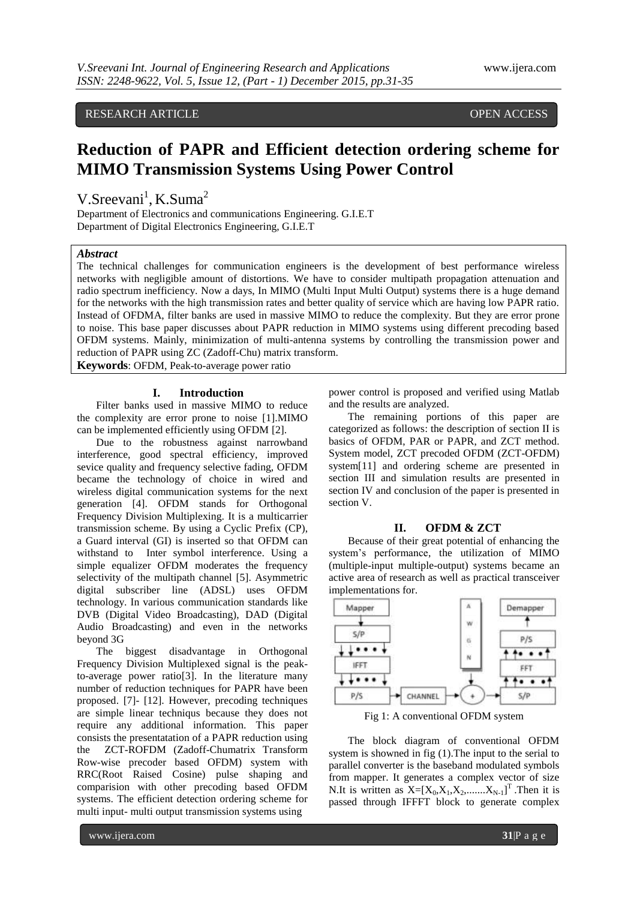RESEARCH ARTICLE **CONSERVERS** OPEN ACCESS

# **Reduction of PAPR and Efficient detection ordering scheme for MIMO Transmission Systems Using Power Control**

V.Sreevani<sup>1</sup>, K.Suma<sup>2</sup>

Department of Electronics and communications Engineering. G.I.E.T Department of Digital Electronics Engineering, G.I.E.T

# *Abstract*

The technical challenges for communication engineers is the development of best performance wireless networks with negligible amount of distortions. We have to consider multipath propagation attenuation and radio spectrum inefficiency. Now a days, In MIMO (Multi Input Multi Output) systems there is a huge demand for the networks with the high transmission rates and better quality of service which are having low PAPR ratio. Instead of OFDMA, filter banks are used in massive MIMO to reduce the complexity. But they are error prone to noise. This base paper discusses about PAPR reduction in MIMO systems using different precoding based OFDM systems. Mainly, minimization of multi-antenna systems by controlling the transmission power and reduction of PAPR using ZC (Zadoff-Chu) matrix transform.

**Keywords**: OFDM, Peak-to-average power ratio

### **I. Introduction**

Filter banks used in massive MIMO to reduce the complexity are error prone to noise [1].MIMO can be implemented efficiently using OFDM [2].

Due to the robustness against narrowband interference, good spectral efficiency, improved sevice quality and frequency selective fading, OFDM became the technology of choice in wired and wireless digital communication systems for the next generation [4]. OFDM stands for Orthogonal Frequency Division Multiplexing. It is a multicarrier transmission scheme. By using a Cyclic Prefix (CP), a Guard interval (GI) is inserted so that OFDM can withstand to Inter symbol interference. Using a simple equalizer OFDM moderates the frequency selectivity of the multipath channel [5]. Asymmetric digital subscriber line (ADSL) uses OFDM technology. In various communication standards like DVB (Digital Video Broadcasting), DAD (Digital Audio Broadcasting) and even in the networks beyond 3G

The biggest disadvantage in Orthogonal Frequency Division Multiplexed signal is the peakto-average power ratio[3]. In the literature many number of reduction techniques for PAPR have been proposed. [7]- [12]. However, precoding techniques are simple linear techniqus because they does not require any additional information. This paper consists the presentatation of a PAPR reduction using the ZCT-ROFDM (Zadoff-Chumatrix Transform Row-wise precoder based OFDM) system with RRC(Root Raised Cosine) pulse shaping and comparision with other precoding based OFDM systems. The efficient detection ordering scheme for multi input- multi output transmission systems using

power control is proposed and verified using Matlab and the results are analyzed.

The remaining portions of this paper are categorized as follows: the description of section II is basics of OFDM, PAR or PAPR, and ZCT method. System model, ZCT precoded OFDM (ZCT-OFDM) system[11] and ordering scheme are presented in section III and simulation results are presented in section IV and conclusion of the paper is presented in section V.

#### **II. OFDM & ZCT**

Because of their great potential of enhancing the system's performance, the utilization of MIMO (multiple-input multiple-output) systems became an active area of research as well as practical transceiver implementations for.



Fig 1: A conventional OFDM system

The block diagram of conventional OFDM system is showned in fig (1).The input to the serial to parallel converter is the baseband modulated symbols from mapper. It generates a complex vector of size N.It is written as  $X=[X_0,X_1,X_2, \ldots, X_{N-1}]^T$ . Then it is passed through IFFFT block to generate complex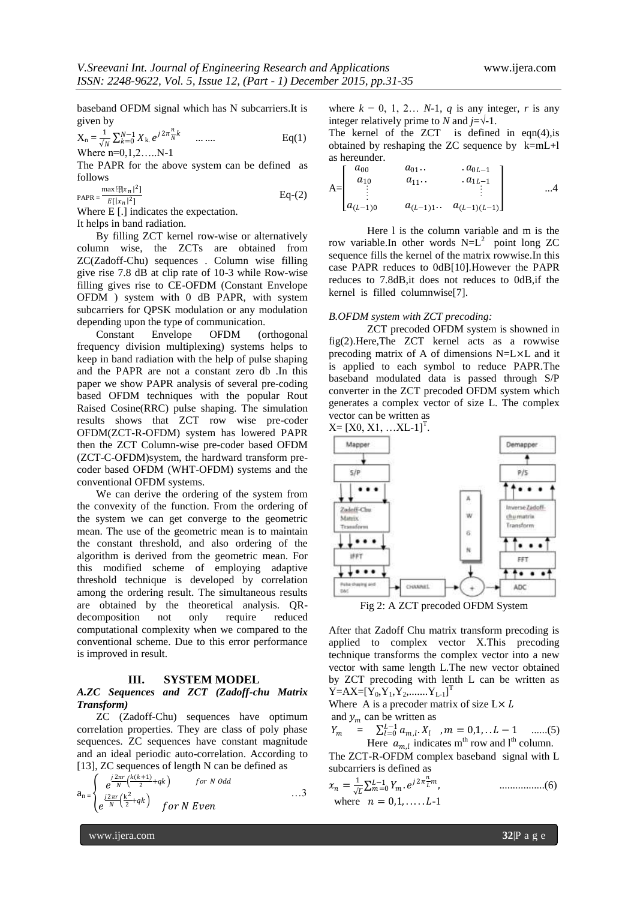baseband OFDM signal which has N subcarriers.It is given by

$$
X_n = \frac{1}{\sqrt{N}} \sum_{k=0}^{N-1} X_k e^{j2\pi \frac{n}{N}k} \quad \dots \dots \quad \text{Eq(1)}
$$

Where  $n=0,1,2$  N-1

The PAPR for the above system can be defined as follows

$$
PAPR = \frac{\max \left[\frac{R}{k} \frac{r}{n}\right]^2}{E[|x_n|^2]}
$$
 Eq-(2)

Where E [.] indicates the expectation.

It helps in band radiation.

By filling ZCT kernel row-wise or alternatively column wise, the ZCTs are obtained from ZC(Zadoff-Chu) sequences . Column wise filling give rise 7.8 dB at clip rate of 10-3 while Row-wise filling gives rise to CE-OFDM (Constant Envelope OFDM ) system with 0 dB PAPR, with system subcarriers for QPSK modulation or any modulation depending upon the type of communication.

Constant Envelope OFDM (orthogonal frequency division multiplexing) systems helps to keep in band radiation with the help of pulse shaping and the PAPR are not a constant zero db .In this paper we show PAPR analysis of several pre-coding based OFDM techniques with the popular Rout Raised Cosine(RRC) pulse shaping. The simulation results shows that ZCT row wise pre-coder OFDM(ZCT-R-OFDM) system has lowered PAPR then the ZCT Column-wise pre-coder based OFDM (ZCT-C-OFDM)system, the hardward transform precoder based OFDM (WHT-OFDM) systems and the conventional OFDM systems.

We can derive the ordering of the system from the convexity of the function. From the ordering of the system we can get converge to the geometric mean. The use of the geometric mean is to maintain the constant threshold, and also ordering of the algorithm is derived from the geometric mean. For this modified scheme of employing adaptive threshold technique is developed by correlation among the ordering result. The simultaneous results are obtained by the theoretical analysis. QRdecomposition not only require reduced computational complexity when we compared to the conventional scheme. Due to this error performance is improved in result.

#### **III. SYSTEM MODEL**

## *A.ZC Sequences and ZCT (Zadoff-chu Matrix Transform)*

ZC (Zadoff-Chu) sequences have optimum correlation properties. They are class of poly phase sequences. ZC sequences have constant magnitude and an ideal periodic auto-correlation. According to [13], ZC sequences of length N can be defined as

$$
a_n = \begin{cases} e^{\frac{j2\pi r}{N} \left(\frac{k(k+1)}{2} + qk\right)} & \text{for } N \text{ odd} \\ e^{\frac{j2\pi r}{N} \left(\frac{k^2}{2} + qk\right)} & \text{for } N \text{ Even} \end{cases} \dots 3
$$

where  $k = 0, 1, 2... N-1$ , *q* is any integer, *r* is any integer relatively prime to *N* and  $j=\sqrt{-1}$ .

The kernel of the ZCT is defined in eqn $(4)$ , is obtained by reshaping the ZC sequence by k=mL+l as hereunder.

$$
A = \begin{bmatrix} a_{00} & a_{01} \cdots & a_{0L-1} \\ a_{10} & a_{11} \cdots & a_{1L-1} \\ \vdots & \vdots & \vdots \\ a_{(L-1)0} & a_{(L-1)1} \cdots & a_{(L-1)(L-1)} \end{bmatrix} \qquad \dots 4
$$

Here l is the column variable and m is the row variable.In other words  $N=L^2$  point long ZC sequence fills the kernel of the matrix rowwise.In this case PAPR reduces to 0dB[10].However the PAPR reduces to 7.8dB,it does not reduces to 0dB,if the kernel is filled columnwise[7].

#### *B.OFDM system with ZCT precoding:*

ZCT precoded OFDM system is showned in fig(2).Here,The ZCT kernel acts as a rowwise precoding matrix of A of dimensions N=L×L and it is applied to each symbol to reduce PAPR.The baseband modulated data is passed through S/P converter in the ZCT precoded OFDM system which generates a complex vector of size L. The complex vector can be written as





After that Zadoff Chu matrix transform precoding is applied to complex vector X.This precoding technique transforms the complex vector into a new vector with same length L.The new vector obtained by ZCT precoding with lenth L can be written as  $\mathbf{Y} = \mathbf{A} \mathbf{X} = [\mathbf{Y}_0, \mathbf{Y}_1, \mathbf{Y}_2, \dots, \mathbf{Y}_{L-1}]^\mathrm{T}$ 

Where A is a precoder matrix of size  $L \times L$ and  $y_m$  can be written as

$$
Y_m = \sum_{l=0}^{L-1} a_{m,l} X_l, \quad m = 0, 1, \dots L - 1 \quad \dots (5)
$$
  
Here  $a_{m,l}$  indicates m<sup>th</sup> row and l<sup>th</sup> column.

The ZCT-R-OFDM complex baseband signal with L subcarriers is defined as

 = 1 √ . 2 −1 =0 , .................(6) where = 0,1, . . . . . -1

www.ijera.com **32**|P a g e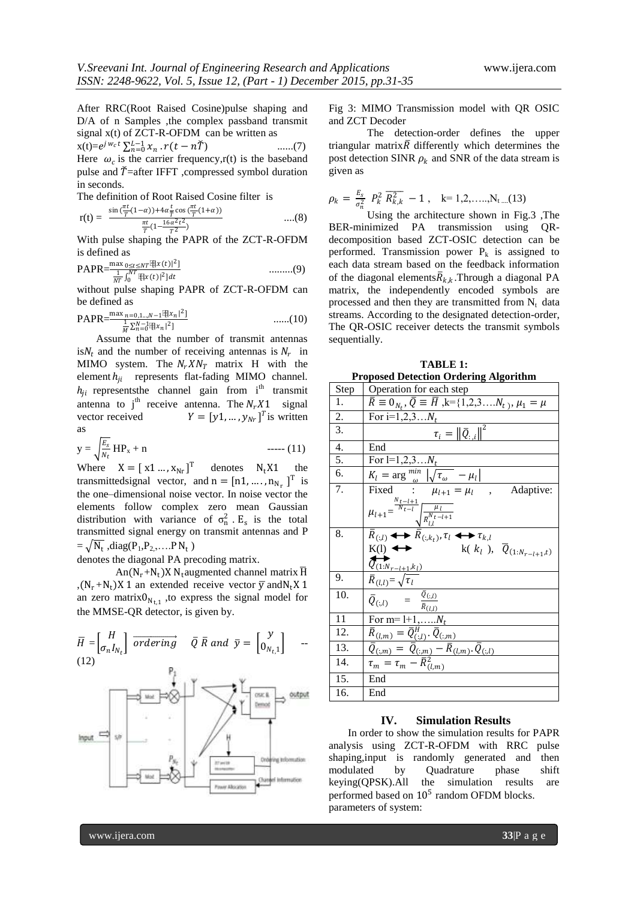After RRC(Root Raised Cosine)pulse shaping and D/A of n Samples , the complex passband transmit signal x(t) of ZCT-R-OFDM can be written as

 $x(t) = e^{j w_c t} \sum_{n=0}^{L-1} x_n \cdot r(t - n\breve{T})$  ......(7) Here  $\omega_c$  is the carrier frequency, r(t) is the baseband pulse and  $\check{T}$ =after IFFT ,compressed symbol duration in seconds.

The definition of Root Raised Cosine filter is

$$
r(t) = \frac{\sin(\frac{\pi t}{T}(1-\alpha)) + 4\alpha \frac{t}{T}\cos(\frac{\pi t}{T}(1+\alpha))}{\frac{\pi t}{T}(1 - \frac{16\alpha^2 t^2}{T^2})}
$$
 ....(8)

With pulse shaping the PAPR of the ZCT-R-OFDM is defined as

$$
PAPR = \frac{\max_{0 \le t \le NT} \mathbb{E}[x(t)]^2}{\frac{1}{NT} \int_0^{NT} \mathbb{E}[x(t)]^2] dt}
$$
 .........(9)

without pulse shaping PAPR of ZCT-R-OFDM can be defined as

$$
PAPR = \frac{\max_{n=0,1\ldots,N-1} \{ \frac{n}{2} |x_n|^2 \}}{\frac{1}{M} \sum_{n=0}^{N-1} \{ \frac{n}{2} |x_n|^2 \}} \qquad \qquad \ldots \ldots (10)
$$

Assume that the number of transmit antennas is  $N_t$  and the number of receiving antennas is  $N_r$  in MIMO system. The  $N_r X N_T$  matrix H with the element  $h_{ji}$  represents flat-fading MIMO channel.  $h_{ji}$  represents the channel gain from i<sup>th</sup> transmit antenna to j<sup>th</sup> receive antenna. The  $N_r X1$  signal<br>vector received  $Y = [\gamma 1, ..., \gamma_{N_r}]^T$  is written vector received  $Y = [y1, ..., y<sub>Nr</sub>]<sup>T</sup>$  is written as

$$
y = \sqrt{\frac{E_s}{N_t}} HP_x + n
$$
 ----(11)

Where  $X = [x1 \dots, x_{Nr}]^T$  denotes  $N_t X1$  the transmittedsignal vector, and  $n = [n1, ..., n_{N_r}]^T$  is the one–dimensional noise vector. In noise vector the elements follow complex zero mean Gaussian distribution with variance of  $\sigma_n^2$ . E<sub>s</sub> is the total transmitted signal energy on transmit antennas and P  $= \sqrt{N_t}$ , diag(P<sub>1</sub>,P<sub>2,</sub>,....P N<sub>t</sub>)

denotes the diagonal PA precoding matrix.

 $An(N_r+N_t)X N_t$ augmented channel matrix  $\overline{H}$ ,  $(N_r+N_t)X$  1 an extended receive vector  $\overline{y}$  and  $N_tX$  1 an zero matrix $0_{N_{t,1}}$ , to express the signal model for the MMSE-QR detector, is given by.



Fig 3: MIMO Transmission model with QR OSIC and ZCT Decoder

The detection-order defines the upper triangular matrix  $\overline{R}$  differently which determines the post detection SINR  $\rho_k$  and SNR of the data stream is given as

$$
\rho_k = \frac{E_s}{\sigma_n^2} \; P_k^2 \; \overline{R_{k,k}^2} \; - \; 1 \; , \quad k = 1, 2, \ldots, N_{t \ldots} (13)
$$

Using the architecture shown in Fig.3 ,The BER-minimized PA transmission using QRdecomposition based ZCT-OSIC detection can be performed. Transmission power  $P_k$  is assigned to each data stream based on the feedback information of the diagonal elements  $\overline{R}_{k,k}$ . Through a diagonal PA matrix, the independently encoded symbols are processed and then they are transmitted from  $N_t$  data streams. According to the designated detection-order, The QR-OSIC receiver detects the transmit symbols sequentially.

| Proposed Detection Ordering Algorithm |                                                                                                                                                                                                                                                                                |
|---------------------------------------|--------------------------------------------------------------------------------------------------------------------------------------------------------------------------------------------------------------------------------------------------------------------------------|
| Step                                  | Operation for each step                                                                                                                                                                                                                                                        |
| 1.                                    | $\bar{R} \equiv 0_{N_t}, \bar{Q} \equiv \bar{H}$ , k={1,2,3 $N_t$ }, $\mu_1 = \mu$                                                                                                                                                                                             |
| 2.                                    | For i=1,2,3 $N_t$                                                                                                                                                                                                                                                              |
| 3.                                    | $\tau_i =   \bar{Q}_{:,i}  ^2$                                                                                                                                                                                                                                                 |
| 4.                                    | End                                                                                                                                                                                                                                                                            |
| 5.                                    | For $l=1,2,3N_t$                                                                                                                                                                                                                                                               |
| 6.                                    | $K_l = \arg \frac{min}{\omega}  \sqrt{\tau_{\omega}} - \mu_l $<br>Fixed $\therefore \mu_{l+1} = \mu_l$ , Adaptive:                                                                                                                                                             |
| 7.                                    |                                                                                                                                                                                                                                                                                |
|                                       | $\begin{split} & \mu_{l+1} \!\!=\!\! \frac{\sum\limits_{N_t=l+1}^{N_t-l+1} \!\!\! \sqrt{\frac{\mu_l}{R_{l,l}^{N_t-l+1}}} }{ \bar{R}_{(:,l)} \blacktriangleleft \blacktriangleleft \widehat{R}_{(:,k_t)}, \tau_l \blacktriangleleft \blacktriangleleft \tau_{k,l}} \end{split}$ |
| 8.                                    |                                                                                                                                                                                                                                                                                |
|                                       | $K(1)$ $\leftarrow$<br>k( $k_l$ ), $\overline{Q}_{(1:N_{r-l+1},t)}$<br>$\overbrace{Q_{(1:N_{r-l+1},k_l)}}$                                                                                                                                                                     |
| 9.                                    | $\overline{R}_{(l,l)} = \sqrt{\tau_l}$                                                                                                                                                                                                                                         |
| 10.                                   | $\frac{\overline{Q}_{(:,l)}}{\overline{Q}_{(:,l)}} = \frac{\overline{Q}_{(:,l)}}{\overline{R}_{(l,l)}}$                                                                                                                                                                        |
| 11                                    | For m= $l+1,,N_t$                                                                                                                                                                                                                                                              |
| 12.                                   | $\overline{R}_{(l,\underline{m})} = \overline{Q}_{(:,l)}^H$ . $\overline{Q}_{(:,\underline{m})}$                                                                                                                                                                               |
| 13.                                   |                                                                                                                                                                                                                                                                                |
| 14.                                   | $\overline{Q}_{(:,m)} = \overline{Q}_{(:,m)} - \overline{R}_{(l,m)} \cdot \overline{Q}_{(:,l)}$<br>$\tau_m = \tau_m - \overline{R}_{(l,m)}^2$                                                                                                                                  |
| 15.                                   | End                                                                                                                                                                                                                                                                            |
| 16.                                   | End                                                                                                                                                                                                                                                                            |

### **TABLE 1: Proposed Detection Ordering Algorithm**

#### **IV. Simulation Results**

In order to show the simulation results for PAPR analysis using ZCT-R-OFDM with RRC pulse shaping,input is randomly generated and then modulated by Quadrature phase shift keying(QPSK).All the simulation results are performed based on  $10^5$  random OFDM blocks. parameters of system: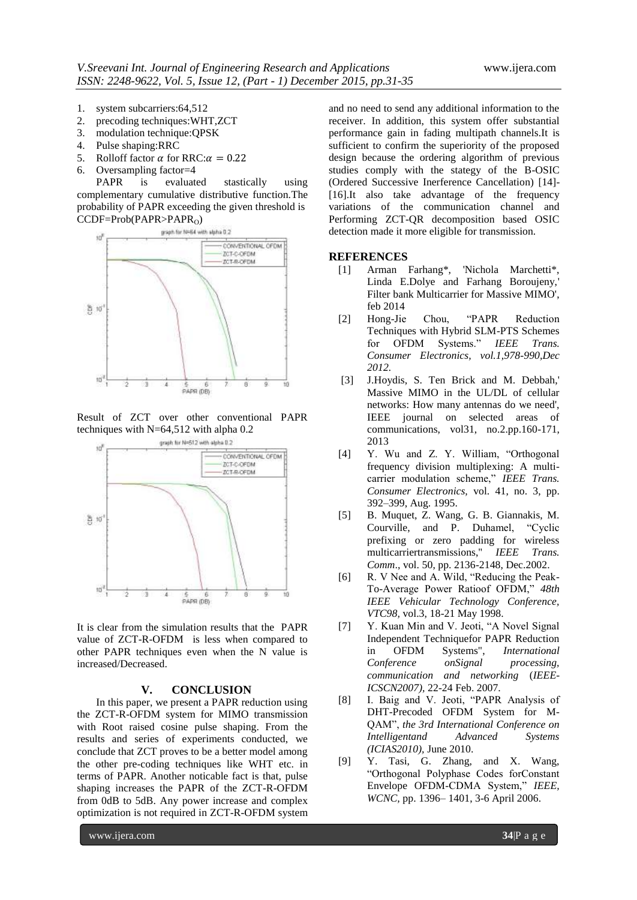- 1. system subcarriers:64,512
- 2. precoding techniques:WHT,ZCT
- 3. modulation technique:QPSK
- 4. Pulse shaping:RRC
- 5. Rolloff factor  $\alpha$  for RRC:  $\alpha = 0.22$
- 6. Oversampling factor=4

PAPR is evaluated stastically using complementary cumulative distributive function.The probability of PAPR exceeding the given threshold is



Result of ZCT over other conventional PAPR techniques with N=64,512 with alpha 0.2



It is clear from the simulation results that the PAPR value of ZCT-R-OFDM is less when compared to other PAPR techniques even when the N value is increased/Decreased.

#### **V. CONCLUSION**

In this paper, we present a PAPR reduction using the ZCT-R-OFDM system for MIMO transmission with Root raised cosine pulse shaping. From the results and series of experiments conducted, we conclude that ZCT proves to be a better model among the other pre-coding techniques like WHT etc. in terms of PAPR. Another noticable fact is that, pulse shaping increases the PAPR of the ZCT-R-OFDM from 0dB to 5dB. Any power increase and complex optimization is not required in ZCT-R-OFDM system

and no need to send any additional information to the receiver. In addition, this system offer substantial performance gain in fading multipath channels.It is sufficient to confirm the superiority of the proposed design because the ordering algorithm of previous studies comply with the stategy of the B-OSIC (Ordered Successive Inerference Cancellation) [14]- [16].It also take advantage of the frequency variations of the communication channel and Performing ZCT-QR decomposition based OSIC detection made it more eligible for transmission.

#### **REFERENCES**

- [1] Arman Farhang\*, 'Nichola Marchetti\*, Linda E.Dolye and Farhang Boroujeny, Filter bank Multicarrier for Massive MIMO', feb 2014
- [2] Hong-Jie Chou, "PAPR Reduction Techniques with Hybrid SLM-PTS Schemes for OFDM Systems." *IEEE Trans. Consumer Electronics, vol.1,978-990,Dec 2012.*
- [3] J.Hoydis, S. Ten Brick and M. Debbah,' Massive MIMO in the UL/DL of cellular networks: How many antennas do we need', IEEE journal on selected areas of communications, vol31, no.2.pp.160-171, 2013
- [4] Y. Wu and Z. Y. William, "Orthogonal frequency division multiplexing: A multicarrier modulation scheme," *IEEE Trans. Consumer Electronics,* vol. 41, no. 3, pp. 392–399, Aug. 1995.
- [5] B. Muquet, Z. Wang, G. B. Giannakis, M. Courville, and P. Duhamel, "Cyclic prefixing or zero padding for wireless multicarriertransmissions,'' *IEEE Trans. Comm*., vol. 50, pp. 2136-2148, Dec.2002.
- [6] R. V Nee and A. Wild, "Reducing the Peak-To-Average Power Ratioof OFDM," *48th IEEE Vehicular Technology Conference, VTC98,* vol.3, 18-21 May 1998.
- [7] Y. Kuan Min and V. Jeoti, "A Novel Signal" Independent Techniquefor PAPR Reduction in OFDM Systems", *International Conference onSignal processing, communication and networking* (*IEEE-ICSCN2007),* 22-24 Feb. 2007.
- [8] I. Baig and V. Jeoti, "PAPR Analysis of DHT-Precoded OFDM System for M-QAM", *the 3rd International Conference on Intelligentand Advanced Systems (ICIAS2010),* June 2010.
- [9] Y. Tasi, G. Zhang, and X. Wang, "Orthogonal Polyphase Codes forConstant Envelope OFDM-CDMA System," *IEEE, WCNC,* pp. 1396– 1401, 3-6 April 2006.